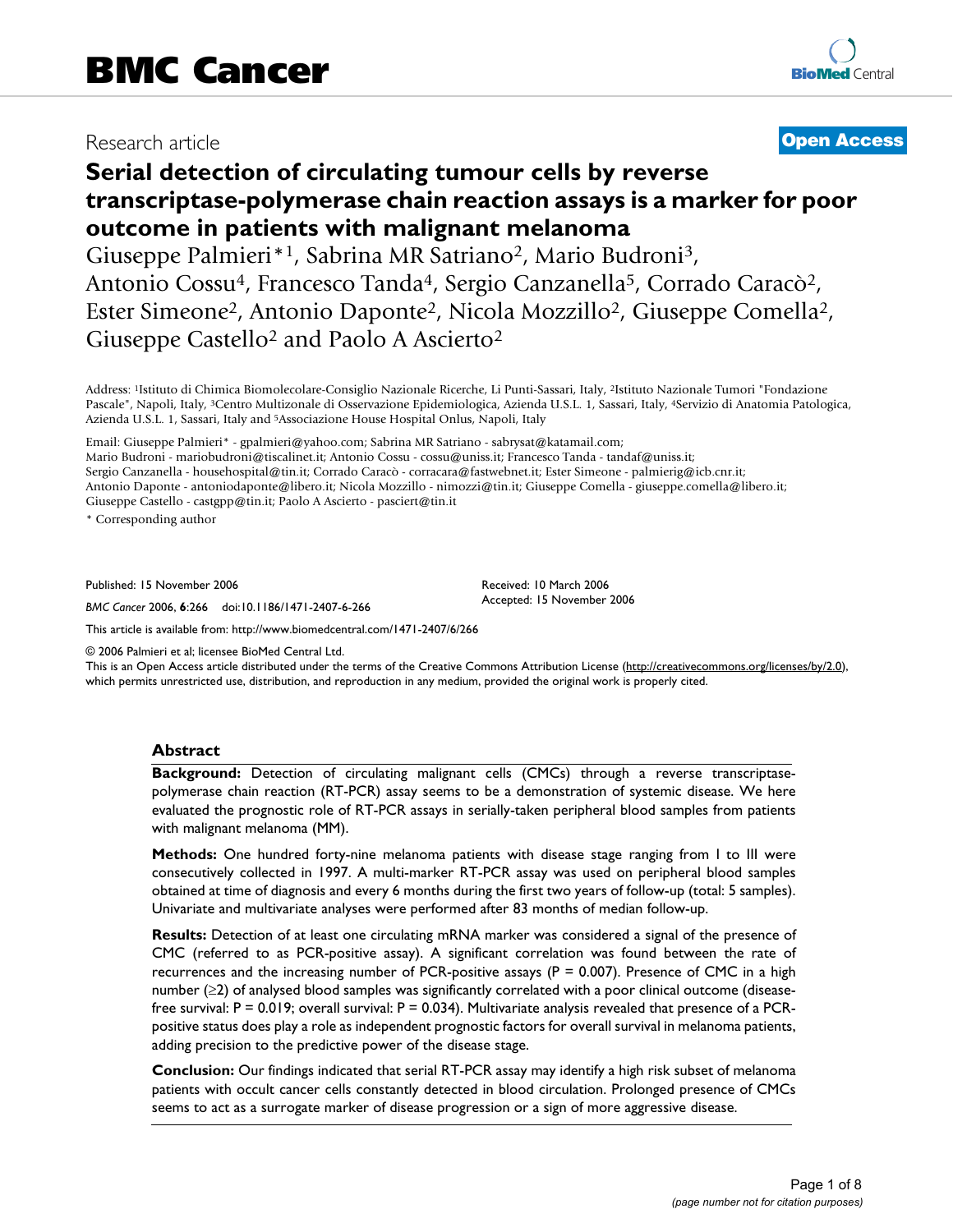# Research article **[Open Access](http://www.biomedcentral.com/info/about/charter/)**

# **Serial detection of circulating tumour cells by reverse transcriptase-polymerase chain reaction assays is a marker for poor outcome in patients with malignant melanoma**

Giuseppe Palmieri\*1, Sabrina MR Satriano2, Mario Budroni3, Antonio Cossu<sup>4</sup>, Francesco Tanda<sup>4</sup>, Sergio Canzanella<sup>5</sup>, Corrado Caracò<sup>2</sup>, Ester Simeone2, Antonio Daponte2, Nicola Mozzillo2, Giuseppe Comella2, Giuseppe Castello<sup>2</sup> and Paolo A Ascierto<sup>2</sup>

Address: 1Istituto di Chimica Biomolecolare-Consiglio Nazionale Ricerche, Li Punti-Sassari, Italy, 2Istituto Nazionale Tumori "Fondazione Pascale", Napoli, Italy, 3Centro Multizonale di Osservazione Epidemiologica, Azienda U.S.L. 1, Sassari, Italy, 4Servizio di Anatomia Patologica, Azienda U.S.L. 1, Sassari, Italy and 5Associazione House Hospital Onlus, Napoli, Italy

Email: Giuseppe Palmieri\* - gpalmieri@yahoo.com; Sabrina MR Satriano - sabrysat@katamail.com; Mario Budroni - mariobudroni@tiscalinet.it; Antonio Cossu - cossu@uniss.it; Francesco Tanda - tandaf@uniss.it; Sergio Canzanella - househospital@tin.it; Corrado Caracò - corracara@fastwebnet.it; Ester Simeone - palmierig@icb.cnr.it; Antonio Daponte - antoniodaponte@libero.it; Nicola Mozzillo - nimozzi@tin.it; Giuseppe Comella - giuseppe.comella@libero.it; Giuseppe Castello - castgpp@tin.it; Paolo A Ascierto - pasciert@tin.it

\* Corresponding author

Published: 15 November 2006

*BMC Cancer* 2006, **6**:266 doi:10.1186/1471-2407-6-266

[This article is available from: http://www.biomedcentral.com/1471-2407/6/266](http://www.biomedcentral.com/1471-2407/6/266)

© 2006 Palmieri et al; licensee BioMed Central Ltd.

This is an Open Access article distributed under the terms of the Creative Commons Attribution License [\(http://creativecommons.org/licenses/by/2.0\)](http://creativecommons.org/licenses/by/2.0), which permits unrestricted use, distribution, and reproduction in any medium, provided the original work is properly cited.

Received: 10 March 2006 Accepted: 15 November 2006

#### **Abstract**

**Background:** Detection of circulating malignant cells (CMCs) through a reverse transcriptasepolymerase chain reaction (RT-PCR) assay seems to be a demonstration of systemic disease. We here evaluated the prognostic role of RT-PCR assays in serially-taken peripheral blood samples from patients with malignant melanoma (MM).

**Methods:** One hundred forty-nine melanoma patients with disease stage ranging from I to III were consecutively collected in 1997. A multi-marker RT-PCR assay was used on peripheral blood samples obtained at time of diagnosis and every 6 months during the first two years of follow-up (total: 5 samples). Univariate and multivariate analyses were performed after 83 months of median follow-up.

**Results:** Detection of at least one circulating mRNA marker was considered a signal of the presence of CMC (referred to as PCR-positive assay). A significant correlation was found between the rate of recurrences and the increasing number of PCR-positive assays ( $P = 0.007$ ). Presence of CMC in a high number (≥2) of analysed blood samples was significantly correlated with a poor clinical outcome (diseasefree survival: P = 0.019; overall survival: P = 0.034). Multivariate analysis revealed that presence of a PCRpositive status does play a role as independent prognostic factors for overall survival in melanoma patients, adding precision to the predictive power of the disease stage.

**Conclusion:** Our findings indicated that serial RT-PCR assay may identify a high risk subset of melanoma patients with occult cancer cells constantly detected in blood circulation. Prolonged presence of CMCs seems to act as a surrogate marker of disease progression or a sign of more aggressive disease.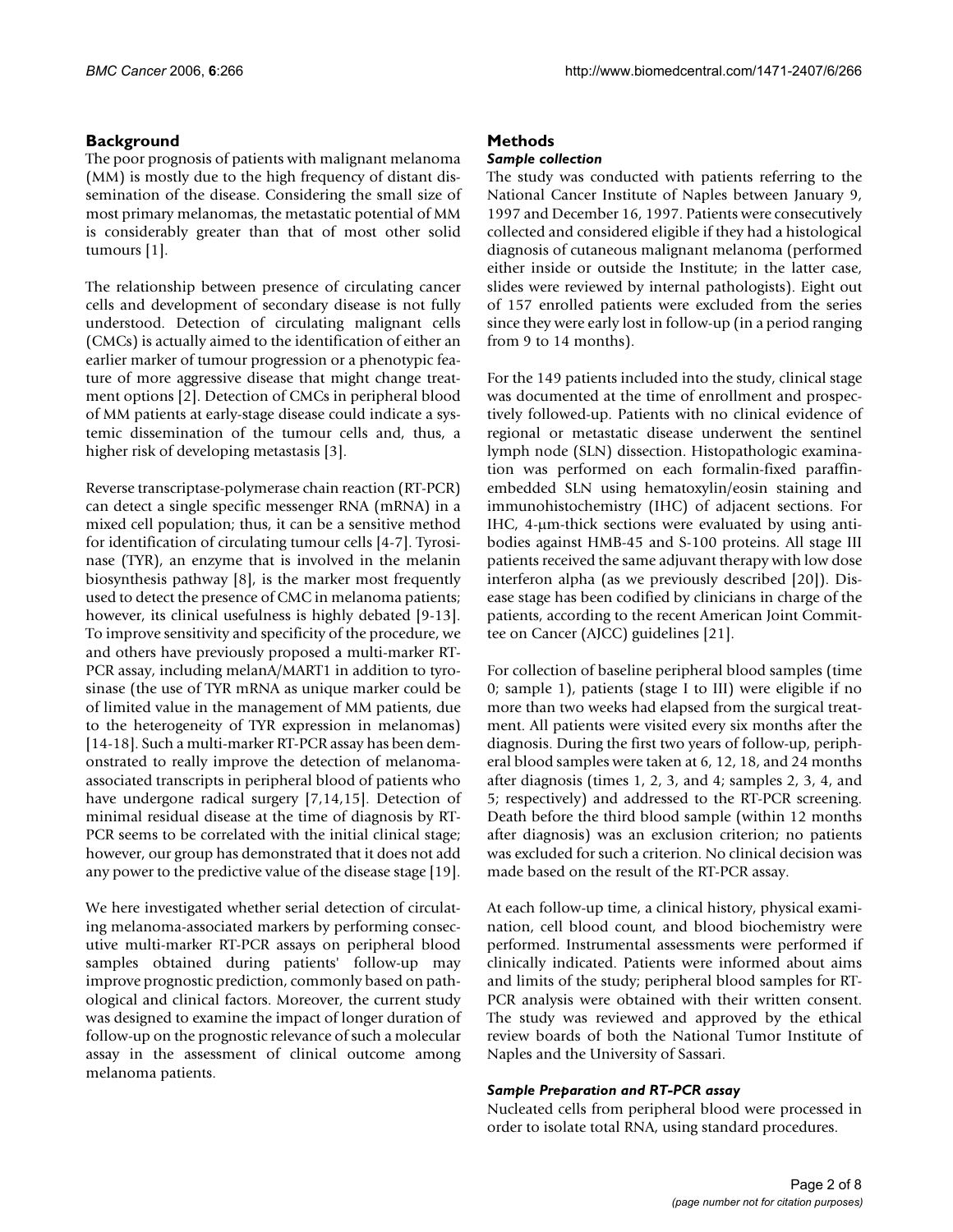# **Background**

The poor prognosis of patients with malignant melanoma (MM) is mostly due to the high frequency of distant dissemination of the disease. Considering the small size of most primary melanomas, the metastatic potential of MM is considerably greater than that of most other solid tumours [1].

The relationship between presence of circulating cancer cells and development of secondary disease is not fully understood. Detection of circulating malignant cells (CMCs) is actually aimed to the identification of either an earlier marker of tumour progression or a phenotypic feature of more aggressive disease that might change treatment options [2]. Detection of CMCs in peripheral blood of MM patients at early-stage disease could indicate a systemic dissemination of the tumour cells and, thus, a higher risk of developing metastasis [3].

Reverse transcriptase-polymerase chain reaction (RT-PCR) can detect a single specific messenger RNA (mRNA) in a mixed cell population; thus, it can be a sensitive method for identification of circulating tumour cells [4-7]. Tyrosinase (TYR), an enzyme that is involved in the melanin biosynthesis pathway [8], is the marker most frequently used to detect the presence of CMC in melanoma patients; however, its clinical usefulness is highly debated [9-13]. To improve sensitivity and specificity of the procedure, we and others have previously proposed a multi-marker RT-PCR assay, including melanA/MART1 in addition to tyrosinase (the use of TYR mRNA as unique marker could be of limited value in the management of MM patients, due to the heterogeneity of TYR expression in melanomas) [14-18]. Such a multi-marker RT-PCR assay has been demonstrated to really improve the detection of melanomaassociated transcripts in peripheral blood of patients who have undergone radical surgery [7,14,15]. Detection of minimal residual disease at the time of diagnosis by RT-PCR seems to be correlated with the initial clinical stage; however, our group has demonstrated that it does not add any power to the predictive value of the disease stage [19].

We here investigated whether serial detection of circulating melanoma-associated markers by performing consecutive multi-marker RT-PCR assays on peripheral blood samples obtained during patients' follow-up may improve prognostic prediction, commonly based on pathological and clinical factors. Moreover, the current study was designed to examine the impact of longer duration of follow-up on the prognostic relevance of such a molecular assay in the assessment of clinical outcome among melanoma patients.

# **Methods**

## *Sample collection*

The study was conducted with patients referring to the National Cancer Institute of Naples between January 9, 1997 and December 16, 1997. Patients were consecutively collected and considered eligible if they had a histological diagnosis of cutaneous malignant melanoma (performed either inside or outside the Institute; in the latter case, slides were reviewed by internal pathologists). Eight out of 157 enrolled patients were excluded from the series since they were early lost in follow-up (in a period ranging from 9 to 14 months).

For the 149 patients included into the study, clinical stage was documented at the time of enrollment and prospectively followed-up. Patients with no clinical evidence of regional or metastatic disease underwent the sentinel lymph node (SLN) dissection. Histopathologic examination was performed on each formalin-fixed paraffinembedded SLN using hematoxylin/eosin staining and immunohistochemistry (IHC) of adjacent sections. For IHC, 4-µm-thick sections were evaluated by using antibodies against HMB-45 and S-100 proteins. All stage III patients received the same adjuvant therapy with low dose interferon alpha (as we previously described [20]). Disease stage has been codified by clinicians in charge of the patients, according to the recent American Joint Committee on Cancer (AJCC) guidelines [21].

For collection of baseline peripheral blood samples (time 0; sample 1), patients (stage I to III) were eligible if no more than two weeks had elapsed from the surgical treatment. All patients were visited every six months after the diagnosis. During the first two years of follow-up, peripheral blood samples were taken at 6, 12, 18, and 24 months after diagnosis (times 1, 2, 3, and 4; samples 2, 3, 4, and 5; respectively) and addressed to the RT-PCR screening. Death before the third blood sample (within 12 months after diagnosis) was an exclusion criterion; no patients was excluded for such a criterion. No clinical decision was made based on the result of the RT-PCR assay.

At each follow-up time, a clinical history, physical examination, cell blood count, and blood biochemistry were performed. Instrumental assessments were performed if clinically indicated. Patients were informed about aims and limits of the study; peripheral blood samples for RT-PCR analysis were obtained with their written consent. The study was reviewed and approved by the ethical review boards of both the National Tumor Institute of Naples and the University of Sassari.

# *Sample Preparation and RT-PCR assay*

Nucleated cells from peripheral blood were processed in order to isolate total RNA, using standard procedures.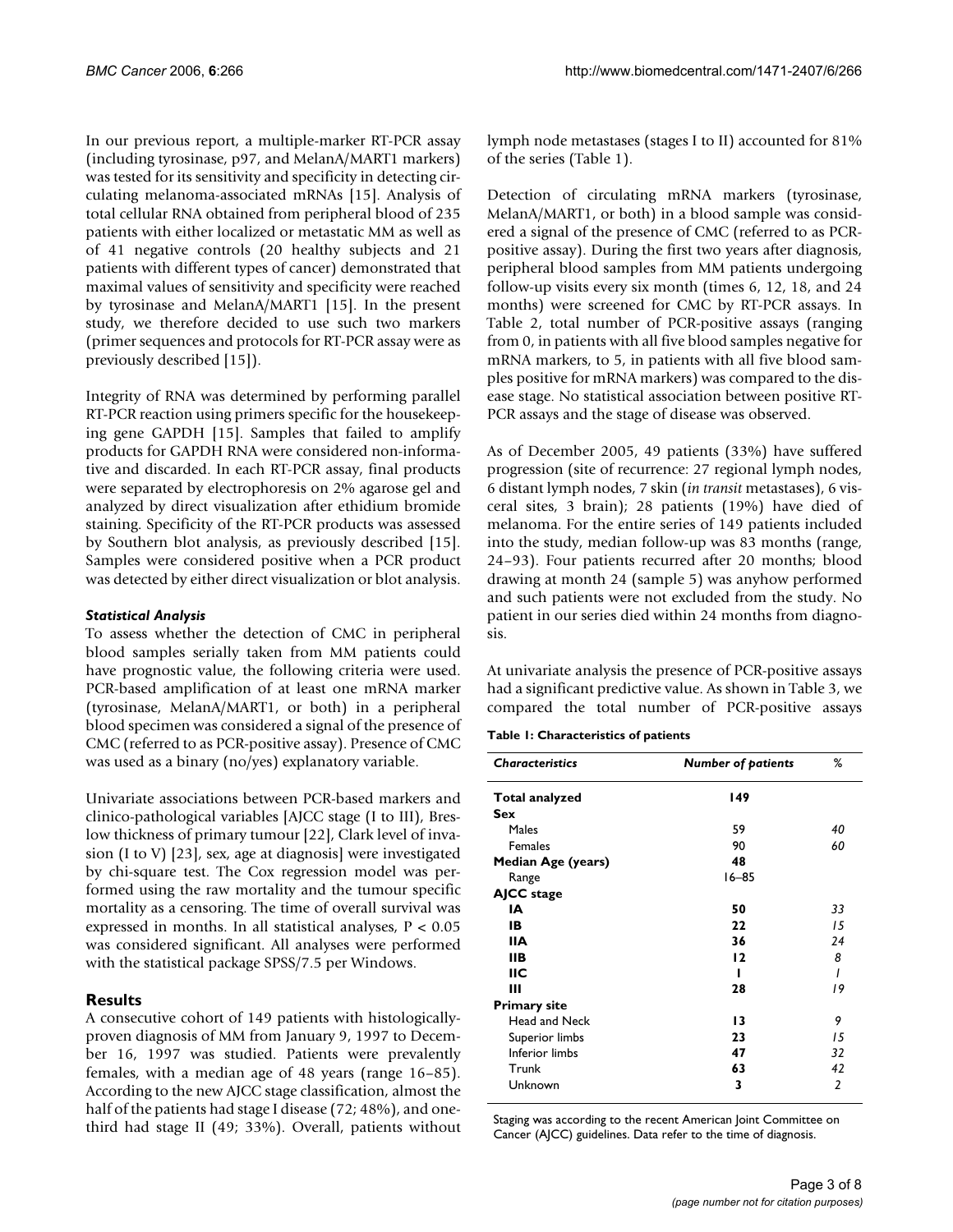In our previous report, a multiple-marker RT-PCR assay (including tyrosinase, p97, and MelanA/MART1 markers) was tested for its sensitivity and specificity in detecting circulating melanoma-associated mRNAs [15]. Analysis of total cellular RNA obtained from peripheral blood of 235 patients with either localized or metastatic MM as well as of 41 negative controls (20 healthy subjects and 21 patients with different types of cancer) demonstrated that maximal values of sensitivity and specificity were reached by tyrosinase and MelanA/MART1 [15]. In the present study, we therefore decided to use such two markers (primer sequences and protocols for RT-PCR assay were as previously described [15]).

Integrity of RNA was determined by performing parallel RT-PCR reaction using primers specific for the housekeeping gene GAPDH [15]. Samples that failed to amplify products for GAPDH RNA were considered non-informative and discarded. In each RT-PCR assay, final products were separated by electrophoresis on 2% agarose gel and analyzed by direct visualization after ethidium bromide staining. Specificity of the RT-PCR products was assessed by Southern blot analysis, as previously described [15]. Samples were considered positive when a PCR product was detected by either direct visualization or blot analysis.

# *Statistical Analysis*

To assess whether the detection of CMC in peripheral blood samples serially taken from MM patients could have prognostic value, the following criteria were used. PCR-based amplification of at least one mRNA marker (tyrosinase, MelanA/MART1, or both) in a peripheral blood specimen was considered a signal of the presence of CMC (referred to as PCR-positive assay). Presence of CMC was used as a binary (no/yes) explanatory variable.

Univariate associations between PCR-based markers and clinico-pathological variables [AJCC stage (I to III), Breslow thickness of primary tumour [22], Clark level of invasion (I to V) [23], sex, age at diagnosis] were investigated by chi-square test. The Cox regression model was performed using the raw mortality and the tumour specific mortality as a censoring. The time of overall survival was expressed in months. In all statistical analyses, P < 0.05 was considered significant. All analyses were performed with the statistical package SPSS/7.5 per Windows.

# **Results**

A consecutive cohort of 149 patients with histologicallyproven diagnosis of MM from January 9, 1997 to December 16, 1997 was studied. Patients were prevalently females, with a median age of 48 years (range 16–85). According to the new AJCC stage classification, almost the half of the patients had stage I disease (72; 48%), and onethird had stage II (49; 33%). Overall, patients without lymph node metastases (stages I to II) accounted for 81% of the series (Table 1).

Detection of circulating mRNA markers (tyrosinase, MelanA/MART1, or both) in a blood sample was considered a signal of the presence of CMC (referred to as PCRpositive assay). During the first two years after diagnosis, peripheral blood samples from MM patients undergoing follow-up visits every six month (times 6, 12, 18, and 24 months) were screened for CMC by RT-PCR assays. In Table 2, total number of PCR-positive assays (ranging from 0, in patients with all five blood samples negative for mRNA markers, to 5, in patients with all five blood samples positive for mRNA markers) was compared to the disease stage. No statistical association between positive RT-PCR assays and the stage of disease was observed.

As of December 2005, 49 patients (33%) have suffered progression (site of recurrence: 27 regional lymph nodes, 6 distant lymph nodes, 7 skin (*in transit* metastases), 6 visceral sites, 3 brain); 28 patients (19%) have died of melanoma. For the entire series of 149 patients included into the study, median follow-up was 83 months (range, 24–93). Four patients recurred after 20 months; blood drawing at month 24 (sample 5) was anyhow performed and such patients were not excluded from the study. No patient in our series died within 24 months from diagnosis.

At univariate analysis the presence of PCR-positive assays had a significant predictive value. As shown in Table 3, we compared the total number of PCR-positive assays

| Table 1: Characteristics of patients |  |
|--------------------------------------|--|
|--------------------------------------|--|

| <b>Characteristics</b> | <b>Number of patients</b> | ℅              |  |
|------------------------|---------------------------|----------------|--|
| <b>Total analyzed</b>  | 149                       |                |  |
| <b>Sex</b>             |                           |                |  |
| Males                  | 59                        | 40             |  |
| Females                | 90                        | 60             |  |
| Median Age (years)     | 48                        |                |  |
| Range                  | $16 - 85$                 |                |  |
| AJCC stage             |                           |                |  |
| IΑ                     | 50                        | 33             |  |
| IB                     | 22                        | 15             |  |
| <b>IIA</b>             | 36                        | 24             |  |
| ШB                     | 12                        | 8              |  |
| IIС                    | ı                         | ı              |  |
| ш                      | 28                        | 19             |  |
| <b>Primary site</b>    |                           |                |  |
| Head and Neck          | 13                        | 9              |  |
| Superior limbs         | 23                        | 15             |  |
| Inferior limbs         | 47                        | 32             |  |
| Trunk                  | 63                        | 42             |  |
| Unknown                | 3                         | $\overline{2}$ |  |

Staging was according to the recent American Joint Committee on Cancer (AJCC) guidelines. Data refer to the time of diagnosis.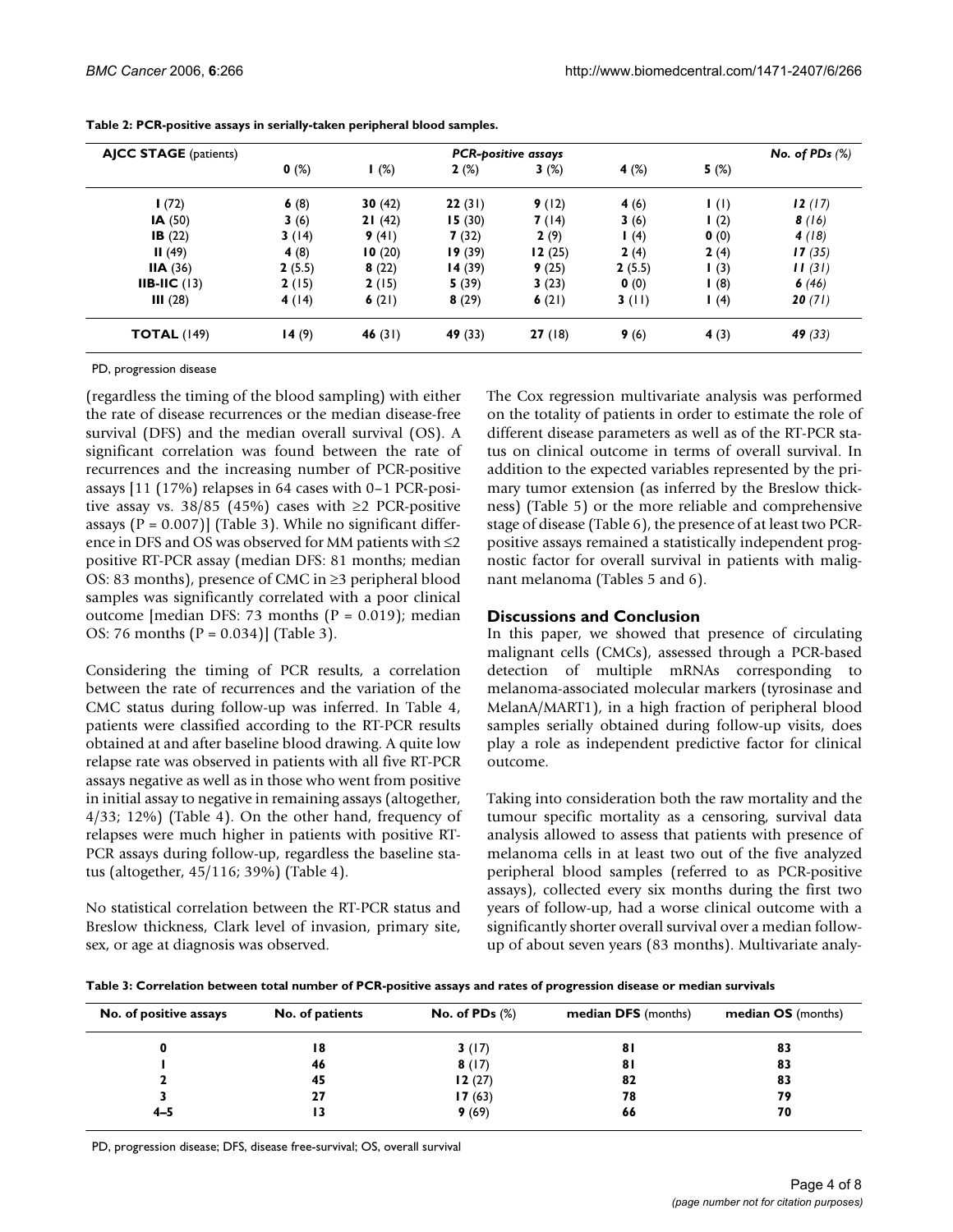| <b>AJCC STAGE</b> (patients) |         | <b>PCR-positive assays</b> |         |        |          |                          | No. of PDs $(\%)$ |
|------------------------------|---------|----------------------------|---------|--------|----------|--------------------------|-------------------|
|                              | 0(%)    | $(\%)$                     | 2(%)    | 3(%)   | 4 $(\%)$ | 5(%)                     |                   |
| 1(72)                        | 6(8)    | 30(42)                     | 22(31)  | 9(12)  | 4 $(6)$  | $\mathsf{I}(\mathsf{I})$ | 12(17)            |
| IA(50)                       | 3(6)    | 21(42)                     | 15(30)  | 7(14)  | 3(6)     | $\mathsf{I}$ (2)         | 8(16)             |
| IB(22)                       | 3(14)   | 9(41)                      | 7(32)   | 2(9)   | 1(4)     | 0(0)                     | 4(18)             |
| II $(49)$                    | 4 $(8)$ | 10(20)                     | 19(39)  | 12(25) | 2(4)     | 2(4)                     | 17(35)            |
| IIA(36)                      | 2(5.5)  | 8(22)                      | 14(39)  | 9(25)  | 2(5.5)   | 1(3)                     | 11(31)            |
| $IIB-IIC$ (13)               | 2(15)   | 2(15)                      | 5(39)   | 3(23)  | 0(0)     | $\mathsf{I}$ (8)         | 6(46)             |
| III $(28)$                   | 4(14)   | 6(21)                      | 8(29)   | 6(21)  | 3(11)    | $\mathsf{I}$ (4)         | 20(71)            |
| <b>TOTAL (149)</b>           | 14(9)   | 46 $(31)$                  | 49 (33) | 27(18) | 9(6)     | 4 $(3)$                  | 49 $(33)$         |

**Table 2: PCR-positive assays in serially-taken peripheral blood samples.**

PD, progression disease

(regardless the timing of the blood sampling) with either the rate of disease recurrences or the median disease-free survival (DFS) and the median overall survival (OS). A significant correlation was found between the rate of recurrences and the increasing number of PCR-positive assays [11 (17%) relapses in 64 cases with 0–1 PCR-positive assay vs. 38/85 (45%) cases with  $\geq$ 2 PCR-positive assays  $(P = 0.007)$  (Table 3). While no significant difference in DFS and OS was observed for MM patients with ≤2 positive RT-PCR assay (median DFS: 81 months; median OS: 83 months), presence of CMC in ≥3 peripheral blood samples was significantly correlated with a poor clinical outcome [median DFS: 73 months (P = 0.019); median OS: 76 months (P = 0.034)] (Table 3).

Considering the timing of PCR results, a correlation between the rate of recurrences and the variation of the CMC status during follow-up was inferred. In Table 4, patients were classified according to the RT-PCR results obtained at and after baseline blood drawing. A quite low relapse rate was observed in patients with all five RT-PCR assays negative as well as in those who went from positive in initial assay to negative in remaining assays (altogether, 4/33; 12%) (Table 4). On the other hand, frequency of relapses were much higher in patients with positive RT-PCR assays during follow-up, regardless the baseline status (altogether, 45/116; 39%) (Table 4).

No statistical correlation between the RT-PCR status and Breslow thickness, Clark level of invasion, primary site, sex, or age at diagnosis was observed.

The Cox regression multivariate analysis was performed on the totality of patients in order to estimate the role of different disease parameters as well as of the RT-PCR status on clinical outcome in terms of overall survival. In addition to the expected variables represented by the primary tumor extension (as inferred by the Breslow thickness) (Table 5) or the more reliable and comprehensive stage of disease (Table 6), the presence of at least two PCRpositive assays remained a statistically independent prognostic factor for overall survival in patients with malignant melanoma (Tables 5 and 6).

# **Discussions and Conclusion**

In this paper, we showed that presence of circulating malignant cells (CMCs), assessed through a PCR-based detection of multiple mRNAs corresponding to melanoma-associated molecular markers (tyrosinase and MelanA/MART1), in a high fraction of peripheral blood samples serially obtained during follow-up visits, does play a role as independent predictive factor for clinical outcome.

Taking into consideration both the raw mortality and the tumour specific mortality as a censoring, survival data analysis allowed to assess that patients with presence of melanoma cells in at least two out of the five analyzed peripheral blood samples (referred to as PCR-positive assays), collected every six months during the first two years of follow-up, had a worse clinical outcome with a significantly shorter overall survival over a median followup of about seven years (83 months). Multivariate analy-

**Table 3: Correlation between total number of PCR-positive assays and rates of progression disease or median survivals**

| No. of positive assays | No. of patients | No. of PDs $(\%)$ | median DFS (months) | median OS (months) |
|------------------------|-----------------|-------------------|---------------------|--------------------|
|                        | 18              | 3(17)             | 81                  | 83                 |
|                        | 46              | 8(17)             | 81                  | 83                 |
|                        | 45              | 12(27)            | 82                  | 83                 |
|                        | 27              | 17(63)            | 78                  | 79                 |
| $4 - 5$                | 13              | 9(69)             | 66                  | 70                 |

PD, progression disease; DFS, disease free-survival; OS, overall survival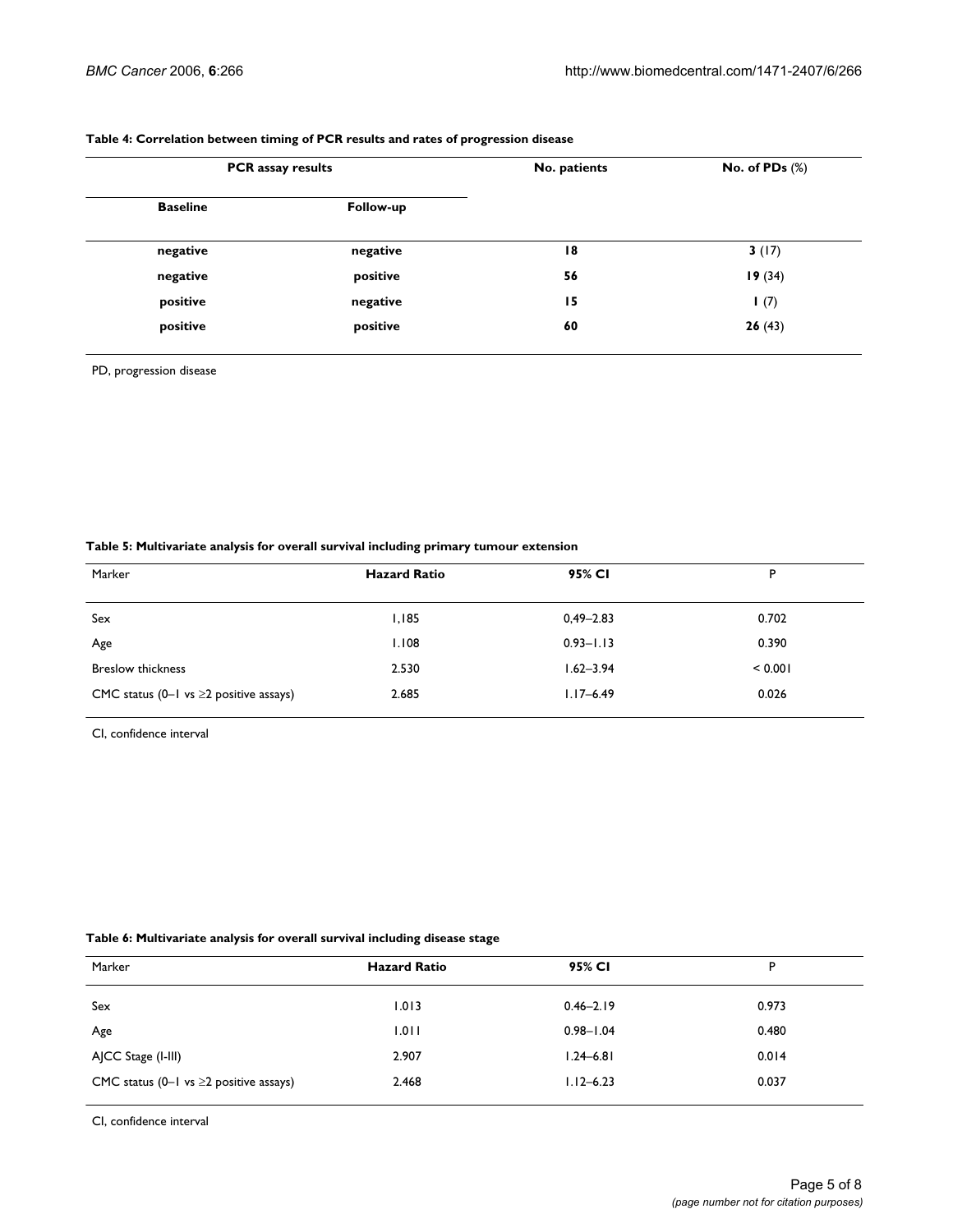| <b>PCR</b> assay results |           | No. patients | No. of PDs $(\%)$ |  |
|--------------------------|-----------|--------------|-------------------|--|
| <b>Baseline</b>          | Follow-up |              |                   |  |
| negative                 | negative  | 18           | 3(17)             |  |
| negative                 | positive  | 56           | 19(34)            |  |
| positive                 | negative  | 15           | $\mathsf{I}$ (7)  |  |
| positive                 | positive  | 60           | 26(43)            |  |

#### **Table 4: Correlation between timing of PCR results and rates of progression disease**

PD, progression disease

## **Table 5: Multivariate analysis for overall survival including primary tumour extension**

| Marker                                       | <b>Hazard Ratio</b> | 95% CI        | P       |
|----------------------------------------------|---------------------|---------------|---------|
| Sex                                          | 1,185               | $0,49 - 2.83$ | 0.702   |
| Age                                          | 1.108               | $0.93 - 1.13$ | 0.390   |
| <b>Breslow thickness</b>                     | 2.530               | $1.62 - 3.94$ | < 0.001 |
| CMC status (0-1 vs $\geq$ 2 positive assays) | 2.685               | $1.17 - 6.49$ | 0.026   |

CI, confidence interval

#### **Table 6: Multivariate analysis for overall survival including disease stage**

| Marker                                       | <b>Hazard Ratio</b> | 95% CI        | P     |
|----------------------------------------------|---------------------|---------------|-------|
| Sex                                          | 1.013               | $0.46 - 2.19$ | 0.973 |
| Age                                          | 1.011               | $0.98 - 1.04$ | 0.480 |
| AJCC Stage (I-III)                           | 2.907               | $1.24 - 6.81$ | 0.014 |
| CMC status (0-1 vs $\geq$ 2 positive assays) | 2.468               | $1.12 - 6.23$ | 0.037 |

CI, confidence interval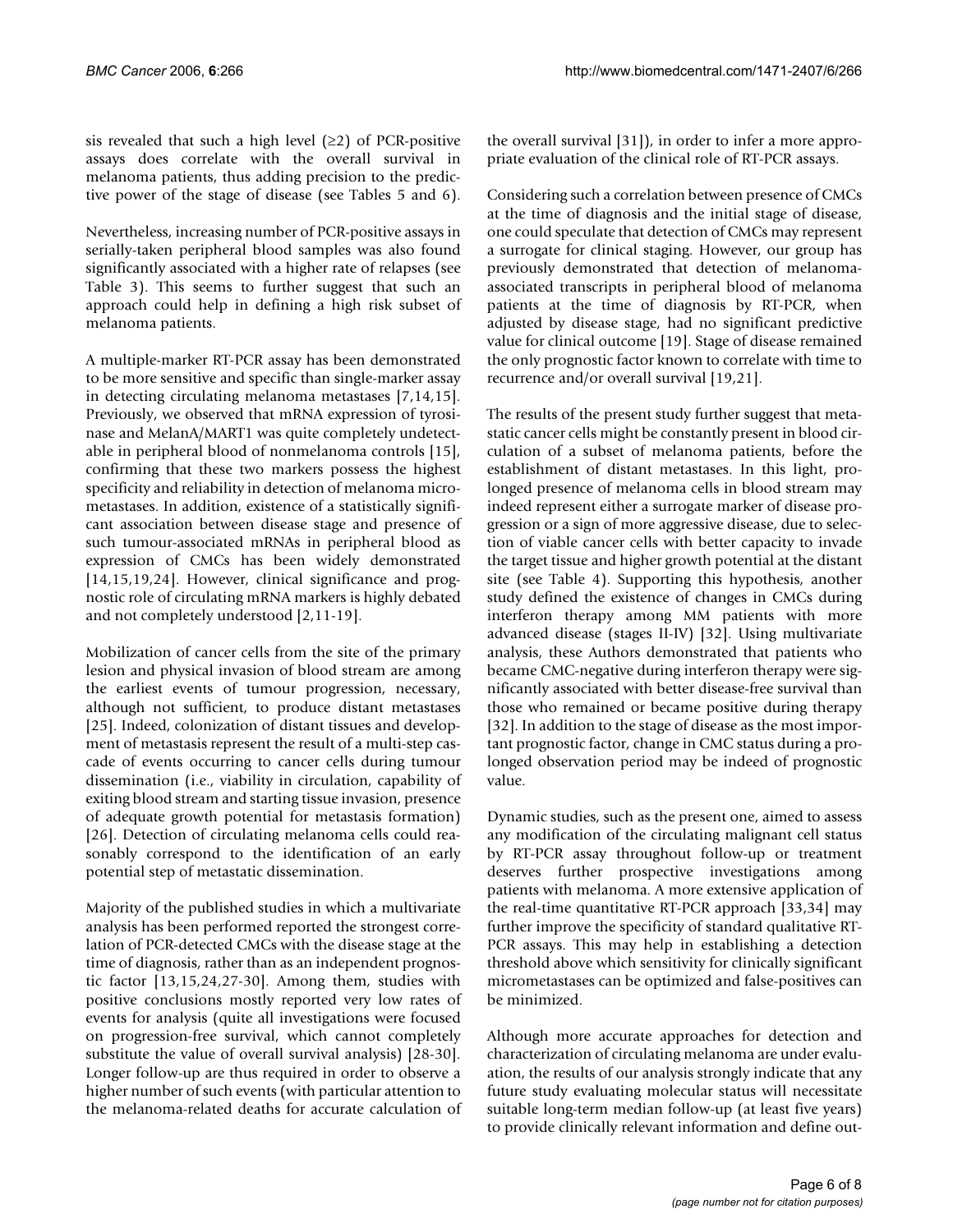sis revealed that such a high level  $(\geq 2)$  of PCR-positive assays does correlate with the overall survival in melanoma patients, thus adding precision to the predictive power of the stage of disease (see Tables 5 and 6).

Nevertheless, increasing number of PCR-positive assays in serially-taken peripheral blood samples was also found significantly associated with a higher rate of relapses (see Table 3). This seems to further suggest that such an approach could help in defining a high risk subset of melanoma patients.

A multiple-marker RT-PCR assay has been demonstrated to be more sensitive and specific than single-marker assay in detecting circulating melanoma metastases [7,14,15]. Previously, we observed that mRNA expression of tyrosinase and MelanA/MART1 was quite completely undetectable in peripheral blood of nonmelanoma controls [15], confirming that these two markers possess the highest specificity and reliability in detection of melanoma micrometastases. In addition, existence of a statistically significant association between disease stage and presence of such tumour-associated mRNAs in peripheral blood as expression of CMCs has been widely demonstrated [14,15,19,24]. However, clinical significance and prognostic role of circulating mRNA markers is highly debated and not completely understood [2,11-19].

Mobilization of cancer cells from the site of the primary lesion and physical invasion of blood stream are among the earliest events of tumour progression, necessary, although not sufficient, to produce distant metastases [25]. Indeed, colonization of distant tissues and development of metastasis represent the result of a multi-step cascade of events occurring to cancer cells during tumour dissemination (i.e., viability in circulation, capability of exiting blood stream and starting tissue invasion, presence of adequate growth potential for metastasis formation) [26]. Detection of circulating melanoma cells could reasonably correspond to the identification of an early potential step of metastatic dissemination.

Majority of the published studies in which a multivariate analysis has been performed reported the strongest correlation of PCR-detected CMCs with the disease stage at the time of diagnosis, rather than as an independent prognostic factor [13,15,24,27-30]. Among them, studies with positive conclusions mostly reported very low rates of events for analysis (quite all investigations were focused on progression-free survival, which cannot completely substitute the value of overall survival analysis) [28-30]. Longer follow-up are thus required in order to observe a higher number of such events (with particular attention to the melanoma-related deaths for accurate calculation of the overall survival [31]), in order to infer a more appropriate evaluation of the clinical role of RT-PCR assays.

Considering such a correlation between presence of CMCs at the time of diagnosis and the initial stage of disease, one could speculate that detection of CMCs may represent a surrogate for clinical staging. However, our group has previously demonstrated that detection of melanomaassociated transcripts in peripheral blood of melanoma patients at the time of diagnosis by RT-PCR, when adjusted by disease stage, had no significant predictive value for clinical outcome [19]. Stage of disease remained the only prognostic factor known to correlate with time to recurrence and/or overall survival [19,21].

The results of the present study further suggest that metastatic cancer cells might be constantly present in blood circulation of a subset of melanoma patients, before the establishment of distant metastases. In this light, prolonged presence of melanoma cells in blood stream may indeed represent either a surrogate marker of disease progression or a sign of more aggressive disease, due to selection of viable cancer cells with better capacity to invade the target tissue and higher growth potential at the distant site (see Table 4). Supporting this hypothesis, another study defined the existence of changes in CMCs during interferon therapy among MM patients with more advanced disease (stages II-IV) [32]. Using multivariate analysis, these Authors demonstrated that patients who became CMC-negative during interferon therapy were significantly associated with better disease-free survival than those who remained or became positive during therapy [32]. In addition to the stage of disease as the most important prognostic factor, change in CMC status during a prolonged observation period may be indeed of prognostic value.

Dynamic studies, such as the present one, aimed to assess any modification of the circulating malignant cell status by RT-PCR assay throughout follow-up or treatment deserves further prospective investigations among patients with melanoma. A more extensive application of the real-time quantitative RT-PCR approach [33,34] may further improve the specificity of standard qualitative RT-PCR assays. This may help in establishing a detection threshold above which sensitivity for clinically significant micrometastases can be optimized and false-positives can be minimized.

Although more accurate approaches for detection and characterization of circulating melanoma are under evaluation, the results of our analysis strongly indicate that any future study evaluating molecular status will necessitate suitable long-term median follow-up (at least five years) to provide clinically relevant information and define out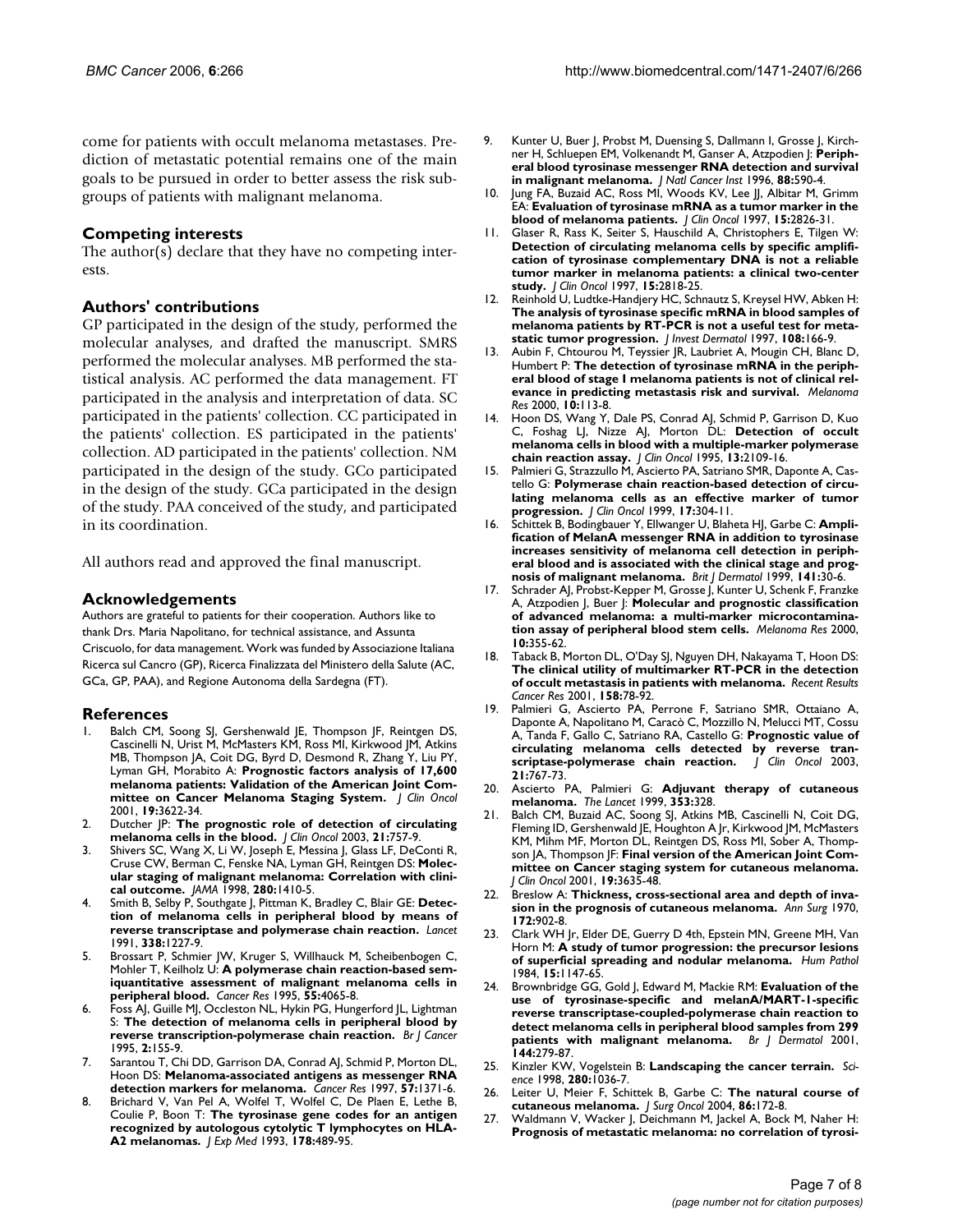come for patients with occult melanoma metastases. Prediction of metastatic potential remains one of the main goals to be pursued in order to better assess the risk subgroups of patients with malignant melanoma.

#### **Competing interests**

The author(s) declare that they have no competing interests.

#### **Authors' contributions**

GP participated in the design of the study, performed the molecular analyses, and drafted the manuscript. SMRS performed the molecular analyses. MB performed the statistical analysis. AC performed the data management. FT participated in the analysis and interpretation of data. SC participated in the patients' collection. CC participated in the patients' collection. ES participated in the patients' collection. AD participated in the patients' collection. NM participated in the design of the study. GCo participated in the design of the study. GCa participated in the design of the study. PAA conceived of the study, and participated in its coordination.

All authors read and approved the final manuscript.

### **Acknowledgements**

Authors are grateful to patients for their cooperation. Authors like to thank Drs. Maria Napolitano, for technical assistance, and Assunta Criscuolo, for data management. Work was funded by Associazione Italiana Ricerca sul Cancro (GP), Ricerca Finalizzata del Ministero della Salute (AC, GCa, GP, PAA), and Regione Autonoma della Sardegna (FT).

#### **References**

- 1. Balch CM, Soong SJ, Gershenwald JE, Thompson JF, Reintgen DS, Cascinelli N, Urist M, McMasters KM, Ross MI, Kirkwood JM, Atkins MB, Thompson JA, Coit DG, Byrd D, Desmond R, Zhang Y, Liu PY, Lyman GH, Morabito A: **[Prognostic factors analysis of 17,600](http://www.ncbi.nlm.nih.gov/entrez/query.fcgi?cmd=Retrieve&db=PubMed&dopt=Abstract&list_uids=11504744) [melanoma patients: Validation of the American Joint Com](http://www.ncbi.nlm.nih.gov/entrez/query.fcgi?cmd=Retrieve&db=PubMed&dopt=Abstract&list_uids=11504744)[mittee on Cancer Melanoma Staging System.](http://www.ncbi.nlm.nih.gov/entrez/query.fcgi?cmd=Retrieve&db=PubMed&dopt=Abstract&list_uids=11504744)** *J Clin Oncol* 2001, **19:**3622-34.
- 2. Dutcher JP: **[The prognostic role of detection of circulating](http://www.ncbi.nlm.nih.gov/entrez/query.fcgi?cmd=Retrieve&db=PubMed&dopt=Abstract&list_uids=12610168) [melanoma cells in the blood.](http://www.ncbi.nlm.nih.gov/entrez/query.fcgi?cmd=Retrieve&db=PubMed&dopt=Abstract&list_uids=12610168)** *J Clin Oncol* 2003, **21:**757-9.
- Shivers SC, Wang X, Li W, Joseph E, Messina J, Glass LF, DeConti R, Cruse CW, Berman C, Fenske NA, Lyman GH, Reintgen DS: **[Molec](http://www.ncbi.nlm.nih.gov/entrez/query.fcgi?cmd=Retrieve&db=PubMed&dopt=Abstract&list_uids=9801000)[ular staging of malignant melanoma: Correlation with clini](http://www.ncbi.nlm.nih.gov/entrez/query.fcgi?cmd=Retrieve&db=PubMed&dopt=Abstract&list_uids=9801000)[cal outcome.](http://www.ncbi.nlm.nih.gov/entrez/query.fcgi?cmd=Retrieve&db=PubMed&dopt=Abstract&list_uids=9801000)** *JAMA* 1998, **280:**1410-5.
- 4. Smith B, Selby P, Southgate J, Pittman K, Bradley C, Blair GE: [Detec](http://www.ncbi.nlm.nih.gov/entrez/query.fcgi?cmd=Retrieve&db=PubMed&dopt=Abstract&list_uids=1719320)**[tion of melanoma cells in peripheral blood by means of](http://www.ncbi.nlm.nih.gov/entrez/query.fcgi?cmd=Retrieve&db=PubMed&dopt=Abstract&list_uids=1719320) [reverse transcriptase and polymerase chain reaction.](http://www.ncbi.nlm.nih.gov/entrez/query.fcgi?cmd=Retrieve&db=PubMed&dopt=Abstract&list_uids=1719320)** *Lancet* 1991, **338:**1227-9.
- 5. Brossart P, Schmier JW, Kruger S, Willhauck M, Scheibenbogen C, Mohler T, Keilholz U: **[A polymerase chain reaction-based sem](http://www.ncbi.nlm.nih.gov/entrez/query.fcgi?cmd=Retrieve&db=PubMed&dopt=Abstract&list_uids=7664281)[iquantitative assessment of malignant melanoma cells in](http://www.ncbi.nlm.nih.gov/entrez/query.fcgi?cmd=Retrieve&db=PubMed&dopt=Abstract&list_uids=7664281) [peripheral blood.](http://www.ncbi.nlm.nih.gov/entrez/query.fcgi?cmd=Retrieve&db=PubMed&dopt=Abstract&list_uids=7664281)** *Cancer Res* 1995, **55:**4065-8.
- 6. Foss AJ, Guille MJ, Occleston NL, Hykin PG, Hungerford JL, Lightman S: **The detection of melanoma cells in peripheral blood by reverse transcription-polymerase chain reaction.** *Br J Cancer* 1995, **2:**155-9.
- Sarantou T, Chi DD, Garrison DA, Conrad AJ, Schmid P, Morton DL, Hoon DS: **[Melanoma-associated antigens as messenger RNA](http://www.ncbi.nlm.nih.gov/entrez/query.fcgi?cmd=Retrieve&db=PubMed&dopt=Abstract&list_uids=9102226) [detection markers for melanoma.](http://www.ncbi.nlm.nih.gov/entrez/query.fcgi?cmd=Retrieve&db=PubMed&dopt=Abstract&list_uids=9102226)** *Cancer Res* 1997, **57:**1371-6.
- 8. Brichard V, Van Pel A, Wolfel T, Wolfel C, De Plaen E, Lethe B, Coulie P, Boon T: **[The tyrosinase gene codes for an antigen](http://www.ncbi.nlm.nih.gov/entrez/query.fcgi?cmd=Retrieve&db=PubMed&dopt=Abstract&list_uids=8340755) [recognized by autologous cytolytic T lymphocytes on HLA-](http://www.ncbi.nlm.nih.gov/entrez/query.fcgi?cmd=Retrieve&db=PubMed&dopt=Abstract&list_uids=8340755)[A2 melanomas.](http://www.ncbi.nlm.nih.gov/entrez/query.fcgi?cmd=Retrieve&db=PubMed&dopt=Abstract&list_uids=8340755)** *J Exp Med* 1993, **178:**489-95.
- 9. Kunter U, Buer J, Probst M, Duensing S, Dallmann I, Grosse J, Kirchner H, Schluepen EM, Volkenandt M, Ganser A, Atzpodien J: **[Periph](http://www.ncbi.nlm.nih.gov/entrez/query.fcgi?cmd=Retrieve&db=PubMed&dopt=Abstract&list_uids=8609659)[eral blood tyrosinase messenger RNA detection and survival](http://www.ncbi.nlm.nih.gov/entrez/query.fcgi?cmd=Retrieve&db=PubMed&dopt=Abstract&list_uids=8609659) [in malignant melanoma.](http://www.ncbi.nlm.nih.gov/entrez/query.fcgi?cmd=Retrieve&db=PubMed&dopt=Abstract&list_uids=8609659)** *J Natl Cancer Inst* 1996, **88:**590-4.
- 10. Jung FA, Buzaid AC, Ross MI, Woods KV, Lee JJ, Albitar M, Grimm EA: **[Evaluation of tyrosinase mRNA as a tumor marker in the](http://www.ncbi.nlm.nih.gov/entrez/query.fcgi?cmd=Retrieve&db=PubMed&dopt=Abstract&list_uids=9256125) [blood of melanoma patients.](http://www.ncbi.nlm.nih.gov/entrez/query.fcgi?cmd=Retrieve&db=PubMed&dopt=Abstract&list_uids=9256125)** *J Clin Oncol* 1997, **15:**2826-31.
- 11. Glaser R, Rass K, Seiter S, Hauschild A, Christophers E, Tilgen W: **Detection of circulating melanoma cells by specific amplifi[cation of tyrosinase complementary DNA is not a reliable](http://www.ncbi.nlm.nih.gov/entrez/query.fcgi?cmd=Retrieve&db=PubMed&dopt=Abstract&list_uids=9256124) tumor marker in melanoma patients: a clinical two-center [study.](http://www.ncbi.nlm.nih.gov/entrez/query.fcgi?cmd=Retrieve&db=PubMed&dopt=Abstract&list_uids=9256124)** *J Clin Oncol* 1997, **15:**2818-25.
- 12. Reinhold U, Ludtke-Handjery HC, Schnautz S, Kreysel HW, Abken H: **The analysis of tyrosinase specific mRNA in blood samples of [melanoma patients by RT-PCR is not a useful test for meta](http://www.ncbi.nlm.nih.gov/entrez/query.fcgi?cmd=Retrieve&db=PubMed&dopt=Abstract&list_uids=9008229)[static tumor progression.](http://www.ncbi.nlm.nih.gov/entrez/query.fcgi?cmd=Retrieve&db=PubMed&dopt=Abstract&list_uids=9008229)** *J Invest Dermatol* 1997, **108:**166-9.
- 13. Aubin F, Chtourou M, Teyssier JR, Laubriet A, Mougin CH, Blanc D, Humbert P: **[The detection of tyrosinase mRNA in the periph](http://www.ncbi.nlm.nih.gov/entrez/query.fcgi?cmd=Retrieve&db=PubMed&dopt=Abstract&list_uids=10803711)[eral blood of stage I melanoma patients is not of clinical rel](http://www.ncbi.nlm.nih.gov/entrez/query.fcgi?cmd=Retrieve&db=PubMed&dopt=Abstract&list_uids=10803711)[evance in predicting metastasis risk and survival.](http://www.ncbi.nlm.nih.gov/entrez/query.fcgi?cmd=Retrieve&db=PubMed&dopt=Abstract&list_uids=10803711)** *Melanoma Res* 2000, **10:**113-8.
- 14. Hoon DS, Wang Y, Dale PS, Conrad AJ, Schmid P, Garrison D, Kuo C, Foshag LJ, Nizze AJ, Morton DL: **[Detection of occult](http://www.ncbi.nlm.nih.gov/entrez/query.fcgi?cmd=Retrieve&db=PubMed&dopt=Abstract&list_uids=7636555) [melanoma cells in blood with a multiple-marker polymerase](http://www.ncbi.nlm.nih.gov/entrez/query.fcgi?cmd=Retrieve&db=PubMed&dopt=Abstract&list_uids=7636555) [chain reaction assay.](http://www.ncbi.nlm.nih.gov/entrez/query.fcgi?cmd=Retrieve&db=PubMed&dopt=Abstract&list_uids=7636555)** *J Clin Oncol* 1995, **13:**2109-16.
- 15. Palmieri G, Strazzullo M, Ascierto PA, Satriano SMR, Daponte A, Castello G: **[Polymerase chain reaction-based detection of circu](http://www.ncbi.nlm.nih.gov/entrez/query.fcgi?cmd=Retrieve&db=PubMed&dopt=Abstract&list_uids=10458247)[lating melanoma cells as an effective marker of tumor](http://www.ncbi.nlm.nih.gov/entrez/query.fcgi?cmd=Retrieve&db=PubMed&dopt=Abstract&list_uids=10458247) [progression.](http://www.ncbi.nlm.nih.gov/entrez/query.fcgi?cmd=Retrieve&db=PubMed&dopt=Abstract&list_uids=10458247)** *J Clin Oncol* 1999, **17:**304-11.
- 16. Schittek B, Bodingbauer Y, Ellwanger U, Blaheta HJ, Garbe C: **Amplification of MelanA messenger RNA in addition to tyrosinase increases sensitivity of melanoma cell detection in peripheral blood and is associated with the clinical stage and prognosis of malignant melanoma.** *Brit J Dermatol* 1999, **141:**30-6.
- 17. Schrader AJ, Probst-Kepper M, Grosse J, Kunter U, Schenk F, Franzke A, Atzpodien J, Buer J: **[Molecular and prognostic classification](http://www.ncbi.nlm.nih.gov/entrez/query.fcgi?cmd=Retrieve&db=PubMed&dopt=Abstract&list_uids=10985670) [of advanced melanoma: a multi-marker microcontamina](http://www.ncbi.nlm.nih.gov/entrez/query.fcgi?cmd=Retrieve&db=PubMed&dopt=Abstract&list_uids=10985670)[tion assay of peripheral blood stem cells.](http://www.ncbi.nlm.nih.gov/entrez/query.fcgi?cmd=Retrieve&db=PubMed&dopt=Abstract&list_uids=10985670)** *Melanoma Res* 2000, **10:**355-62.
- 18. Taback B, Morton DL, O'Day SJ, Nguyen DH, Nakayama T, Hoon DS: **[The clinical utility of multimarker RT-PCR in the detection](http://www.ncbi.nlm.nih.gov/entrez/query.fcgi?cmd=Retrieve&db=PubMed&dopt=Abstract&list_uids=11092035) [of occult metastasis in patients with melanoma.](http://www.ncbi.nlm.nih.gov/entrez/query.fcgi?cmd=Retrieve&db=PubMed&dopt=Abstract&list_uids=11092035)** *Recent Results Cancer Res* 2001, **158:**78-92.
- 19. Palmieri G, Ascierto PA, Perrone F, Satriano SMR, Ottaiano A, Daponte A, Napolitano M, Caracò C, Mozzillo N, Melucci MT, Cossu A, Tanda F, Gallo C, Satriano RA, Castello G: **[Prognostic value of](http://www.ncbi.nlm.nih.gov/entrez/query.fcgi?cmd=Retrieve&db=PubMed&dopt=Abstract&list_uids=12610172)** circulating melanoma cells detected by reverse tran-<br>scriptase-polymerase chain reaction. *J Clin Oncol* 2003,  $s$ criptase-polymerase chain reaction. **21:**767-73.
- 20. Ascierto PA, Palmieri G: **Adjuvant therapy of cutaneous melanoma.** *The Lancet* 1999, **353:**328.
- 21. Balch CM, Buzaid AC, Soong SJ, Atkins MB, Cascinelli N, Coit DG, Fleming ID, Gershenwald JE, Houghton A Jr, Kirkwood JM, McMasters KM, Mihm MF, Morton DL, Reintgen DS, Ross MI, Sober A, Thompson JA, Thompson JF: **[Final version of the American Joint Com](http://www.ncbi.nlm.nih.gov/entrez/query.fcgi?cmd=Retrieve&db=PubMed&dopt=Abstract&list_uids=11504745)[mittee on Cancer staging system for cutaneous melanoma.](http://www.ncbi.nlm.nih.gov/entrez/query.fcgi?cmd=Retrieve&db=PubMed&dopt=Abstract&list_uids=11504745)** *J Clin Oncol* 2001, **19:**3635-48.
- 22. Breslow A: **[Thickness, cross-sectional area and depth of inva](http://www.ncbi.nlm.nih.gov/entrez/query.fcgi?cmd=Retrieve&db=PubMed&dopt=Abstract&list_uids=5477666)[sion in the prognosis of cutaneous melanoma.](http://www.ncbi.nlm.nih.gov/entrez/query.fcgi?cmd=Retrieve&db=PubMed&dopt=Abstract&list_uids=5477666)** *Ann Surg* 1970, **172:**902-8.
- 23. Clark WH Jr, Elder DE, Guerry D 4th, Epstein MN, Greene MH, Van Horn M: **[A study of tumor progression: the precursor lesions](http://www.ncbi.nlm.nih.gov/entrez/query.fcgi?cmd=Retrieve&db=PubMed&dopt=Abstract&list_uids=6500548) [of superficial spreading and nodular melanoma.](http://www.ncbi.nlm.nih.gov/entrez/query.fcgi?cmd=Retrieve&db=PubMed&dopt=Abstract&list_uids=6500548)** *Hum Pathol* 1984, **15:**1147-65.
- 24. Brownbridge GG, Gold J, Edward M, Mackie RM: **[Evaluation of the](http://www.ncbi.nlm.nih.gov/entrez/query.fcgi?cmd=Retrieve&db=PubMed&dopt=Abstract&list_uids=11251559) use of tyrosinase-specific and melanA/MART-1-specific reverse transcriptase-coupled-polymerase chain reaction to [detect melanoma cells in peripheral blood samples from 299](http://www.ncbi.nlm.nih.gov/entrez/query.fcgi?cmd=Retrieve&db=PubMed&dopt=Abstract&list_uids=11251559) [patients with malignant melanoma.](http://www.ncbi.nlm.nih.gov/entrez/query.fcgi?cmd=Retrieve&db=PubMed&dopt=Abstract&list_uids=11251559)** *Br J Dermatol* 2001, **144:**279-87.
- 25. Kinzler KW, Vogelstein B: **[Landscaping the cancer terrain.](http://www.ncbi.nlm.nih.gov/entrez/query.fcgi?cmd=Retrieve&db=PubMed&dopt=Abstract&list_uids=9616081)** *Science* 1998, **280:**1036-7.
- 26. Leiter U, Meier F, Schittek B, Garbe C: **[The natural course of](http://www.ncbi.nlm.nih.gov/entrez/query.fcgi?cmd=Retrieve&db=PubMed&dopt=Abstract&list_uids=15221923) [cutaneous melanoma.](http://www.ncbi.nlm.nih.gov/entrez/query.fcgi?cmd=Retrieve&db=PubMed&dopt=Abstract&list_uids=15221923)** *J Surg Oncol* 2004, **86:**172-8.
- 27. Waldmann V, Wacker J, Deichmann M, Jackel A, Bock M, Naher H: **Prognosis of metastatic melanoma: no correlation of tyrosi-**